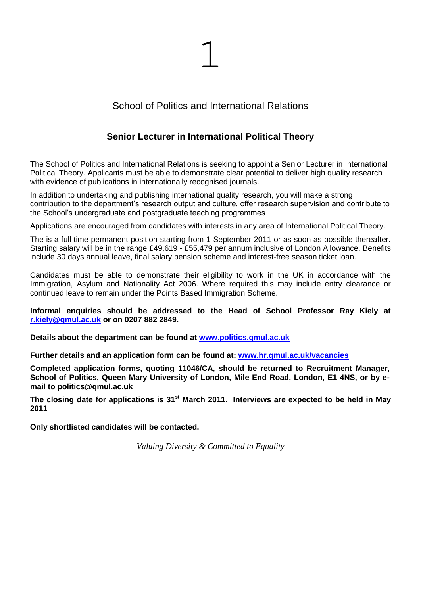

# School of Politics and International Relations

# **Senior Lecturer in International Political Theory**

The School of Politics and International Relations is seeking to appoint a Senior Lecturer in International Political Theory. Applicants must be able to demonstrate clear potential to deliver high quality research with evidence of publications in internationally recognised journals.

In addition to undertaking and publishing international quality research, you will make a strong contribution to the department's research output and culture, offer research supervision and contribute to the School's undergraduate and postgraduate teaching programmes.

Applications are encouraged from candidates with interests in any area of International Political Theory.

The is a full time permanent position starting from 1 September 2011 or as soon as possible thereafter. Starting salary will be in the range £49,619 - £55,479 per annum inclusive of London Allowance. Benefits include 30 days annual leave, final salary pension scheme and interest-free season ticket loan.

Candidates must be able to demonstrate their eligibility to work in the UK in accordance with the Immigration, Asylum and Nationality Act 2006. Where required this may include entry clearance or continued leave to remain under the Points Based Immigration Scheme.

### **Informal enquiries should be addressed to the Head of School Professor Ray Kiely at [r.kiely@qmul.ac.uk](mailto:r.kiely@qmul.ac.uk) or on 0207 882 2849.**

**Details about the department can be found at [www.politics.qmul.ac.uk](http://www.politics.qmul.ac.uk/)**

**Further details and an application form can be found at: [www.hr.qmul.ac.uk/vacancies](http://www.hr.qmul.ac.uk/vacancies)**

**Completed application forms, quoting 11046/CA, should be returned to Recruitment Manager, School of Politics, Queen Mary University of London, Mile End Road, London, E1 4NS, or by email to politics@qmul.ac.uk**

**The closing date for applications is 31st March 2011. Interviews are expected to be held in May 2011**

**Only shortlisted candidates will be contacted.** 

*Valuing Diversity & Committed to Equality*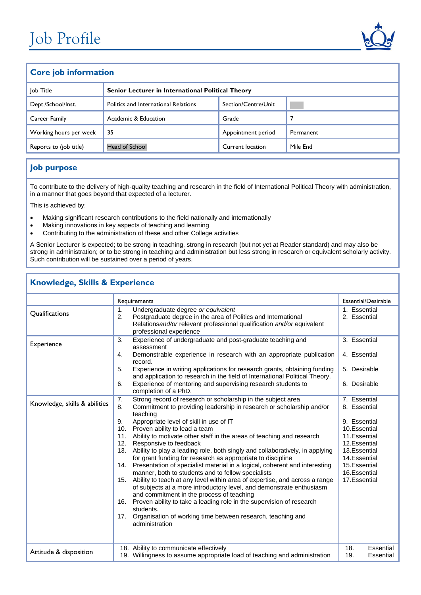

### **Core job information**

| Job Title              | Senior Lecturer in International Political Theory |                     |           |  |
|------------------------|---------------------------------------------------|---------------------|-----------|--|
| Dept./School/Inst.     | <b>Politics and International Relations</b>       | Section/Centre/Unit |           |  |
| Career Family          | Academic & Education                              | Grade               |           |  |
| Working hours per week | -35                                               | Appointment period  | Permanent |  |
| Reports to (job title) | <b>Head of School</b>                             | Current location    | Mile End  |  |

## **Job purpose**

To contribute to the delivery of high-quality teaching and research in the field of International Political Theory with administration, in a manner that goes beyond that expected of a lecturer.

This is achieved by:

- Making significant research contributions to the field nationally and internationally
- Making innovations in key aspects of teaching and learning
- Contributing to the administration of these and other College activities

A Senior Lecturer is expected; to be strong in teaching, strong in research (but not yet at Reader standard) and may also be strong in administration; or to be strong in teaching and administration but less strong in research or equivalent scholarly activity. Such contribution will be sustained over a period of years.

### **Knowledge, Skills & Experience**

|                                             | Requirements                                                                                                                                                                                                                                                                                                                                                                                                                                                                                                                                                                                                                                                                                                                                                                                                                                                                                    | Essential/Desirable                                                                                                                             |
|---------------------------------------------|-------------------------------------------------------------------------------------------------------------------------------------------------------------------------------------------------------------------------------------------------------------------------------------------------------------------------------------------------------------------------------------------------------------------------------------------------------------------------------------------------------------------------------------------------------------------------------------------------------------------------------------------------------------------------------------------------------------------------------------------------------------------------------------------------------------------------------------------------------------------------------------------------|-------------------------------------------------------------------------------------------------------------------------------------------------|
| Qualifications                              | Undergraduate degree or equivalent<br>$\mathbf{1}$ .<br>2.<br>Postgraduate degree in the area of Politics and International<br>Relationsand/or relevant professional qualification and/or equivalent<br>professional experience                                                                                                                                                                                                                                                                                                                                                                                                                                                                                                                                                                                                                                                                 | 1. Essential<br>2. Essential                                                                                                                    |
| Experience<br>Knowledge, skills & abilities | Experience of undergraduate and post-graduate teaching and<br>3.<br>assessment<br>Demonstrable experience in research with an appropriate publication<br>4.<br>record.<br>5.<br>Experience in writing applications for research grants, obtaining funding<br>and application to research in the field of International Political Theory.<br>Experience of mentoring and supervising research students to<br>6.<br>completion of a PhD.<br>Strong record of research or scholarship in the subject area<br>7.<br>8.<br>Commitment to providing leadership in research or scholarship and/or                                                                                                                                                                                                                                                                                                      | 3. Essential<br>4. Essential<br>5. Desirable<br>6. Desirable<br>7. Essential<br>8. Essential                                                    |
|                                             | teaching<br>Appropriate level of skill in use of IT<br>9.<br>10. Proven ability to lead a team<br>11. Ability to motivate other staff in the areas of teaching and research<br>Responsive to feedback<br>12.<br>13. Ability to play a leading role, both singly and collaboratively, in applying<br>for grant funding for research as appropriate to discipline<br>14. Presentation of specialist material in a logical, coherent and interesting<br>manner, both to students and to fellow specialists<br>15. Ability to teach at any level within area of expertise, and across a range<br>of subjects at a more introductory level, and demonstrate enthusiasm<br>and commitment in the process of teaching<br>16. Proven ability to take a leading role in the supervision of research<br>students.<br>Organisation of working time between research, teaching and<br>17.<br>administration | 9. Essential<br>10.Essential<br>11.Essential<br>12.Essential<br>13.Essential<br>14. Essential<br>15. Essential<br>16.Essential<br>17. Essential |
| Attitude & disposition                      | 18. Ability to communicate effectively<br>19. Willingness to assume appropriate load of teaching and administration                                                                                                                                                                                                                                                                                                                                                                                                                                                                                                                                                                                                                                                                                                                                                                             | 18.<br>Essential<br>19.<br>Essential                                                                                                            |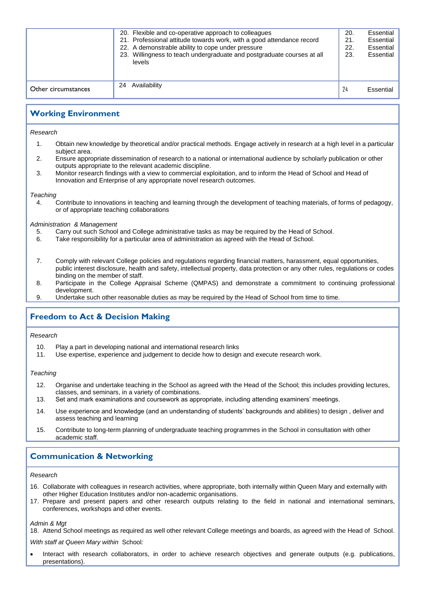|                     | 20. Flexible and co-operative approach to colleagues<br>21. Professional attitude towards work, with a good attendance record<br>22. A demonstrable ability to cope under pressure<br>23. Willingness to teach undergraduate and postgraduate courses at all<br>levels | 20.<br>21.<br>22.<br>23. | Essential<br>Essential<br>Essential<br>Essential |
|---------------------|------------------------------------------------------------------------------------------------------------------------------------------------------------------------------------------------------------------------------------------------------------------------|--------------------------|--------------------------------------------------|
| Other circumstances | Availability<br>24                                                                                                                                                                                                                                                     | 24                       | Essential                                        |

## **Working Environment**

*Research*

- 1. Obtain new knowledge by theoretical and/or practical methods. Engage actively in research at a high level in a particular subject area.
- 2. Ensure appropriate dissemination of research to a national or international audience by scholarly publication or other outputs appropriate to the relevant academic discipline.
- 3. Monitor research findings with a view to commercial exploitation, and to inform the Head of School and Head of Innovation and Enterprise of any appropriate novel research outcomes.

#### *Teaching*

*Other*

4. Contribute to innovations in teaching and learning through the development of teaching materials, of forms of pedagogy, or of appropriate teaching collaborations

#### *Administration & Management*

- 5. Carry out such School and College administrative tasks as may be required by the Head of School.<br>6. Take responsibility for a particular area of administration as agreed with the Head of School.
- Take responsibility for a particular area of administration as agreed with the Head of School.
- 7. Comply with relevant College policies and regulations regarding financial matters, harassment, equal opportunities, public interest disclosure, health and safety, intellectual property, data protection or any other rules, regulations or codes binding on the member of staff.
- 8. Participate in the College Appraisal Scheme (QMPAS) and demonstrate a commitment to continuing professional development.
- 9. Undertake such other reasonable duties as may be required by the Head of School from time to time.

## **Freedom to Act & Decision Making**

### *Research*

- 10. Play a part in developing national and international research links
- 11. Use expertise, experience and judgement to decide how to design and execute research work.

### *Teaching*

- 12. Organise and undertake teaching in the School as agreed with the Head of the School; this includes providing lectures, classes, and seminars, in a variety of combinations.
- 13. Set and mark examinations and coursework as appropriate, including attending examiners' meetings.
- 14. Use experience and knowledge (and an understanding of students' backgrounds and abilities) to design , deliver and assess teaching and learning
- 15. Contribute to long-term planning of undergraduate teaching programmes in the School in consultation with other academic staff.

## **Communication & Networking**

#### *Research*

- 16. Collaborate with colleagues in research activities, where appropriate, both internally within Queen Mary and externally with other Higher Education Institutes and/or non-academic organisations.
- 17. Prepare and present papers and other research outputs relating to the field in national and international seminars, conferences, workshops and other events.

#### *Admin & Mgt*

18. Attend School meetings as required as well other relevant College meetings and boards, as agreed with the Head of School.

*With staff at Queen Mary within* School*:*

 Interact with research collaborators, in order to achieve research objectives and generate outputs (e.g. publications, presentations).